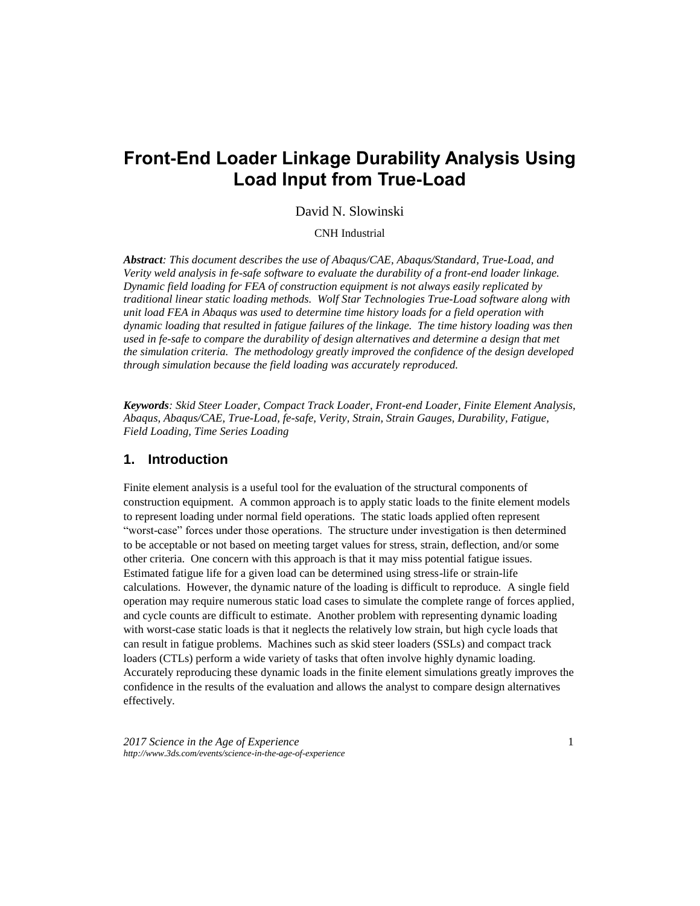# **Front-End Loader Linkage Durability Analysis Using Load Input from True-Load**

### David N. Slowinski

### CNH Industrial

*Abstract: This document describes the use of Abaqus/CAE, Abaqus/Standard, True-Load, and Verity weld analysis in fe-safe software to evaluate the durability of a front-end loader linkage. Dynamic field loading for FEA of construction equipment is not always easily replicated by traditional linear static loading methods. Wolf Star Technologies True-Load software along with unit load FEA in Abaqus was used to determine time history loads for a field operation with dynamic loading that resulted in fatigue failures of the linkage. The time history loading was then*  used in fe-safe to compare the durability of design alternatives and determine a design that met *the simulation criteria. The methodology greatly improved the confidence of the design developed through simulation because the field loading was accurately reproduced.*

*Keywords: Skid Steer Loader, Compact Track Loader, Front-end Loader, Finite Element Analysis, Abaqus, Abaqus/CAE, True-Load, fe-safe, Verity, Strain, Strain Gauges, Durability, Fatigue, Field Loading, Time Series Loading*

## **1. Introduction**

Finite element analysis is a useful tool for the evaluation of the structural components of construction equipment. A common approach is to apply static loads to the finite element models to represent loading under normal field operations. The static loads applied often represent "worst-case" forces under those operations. The structure under investigation is then determined to be acceptable or not based on meeting target values for stress, strain, deflection, and/or some other criteria. One concern with this approach is that it may miss potential fatigue issues. Estimated fatigue life for a given load can be determined using stress-life or strain-life calculations. However, the dynamic nature of the loading is difficult to reproduce. A single field operation may require numerous static load cases to simulate the complete range of forces applied, and cycle counts are difficult to estimate. Another problem with representing dynamic loading with worst-case static loads is that it neglects the relatively low strain, but high cycle loads that can result in fatigue problems. Machines such as skid steer loaders (SSLs) and compact track loaders (CTLs) perform a wide variety of tasks that often involve highly dynamic loading. Accurately reproducing these dynamic loads in the finite element simulations greatly improves the confidence in the results of the evaluation and allows the analyst to compare design alternatives effectively.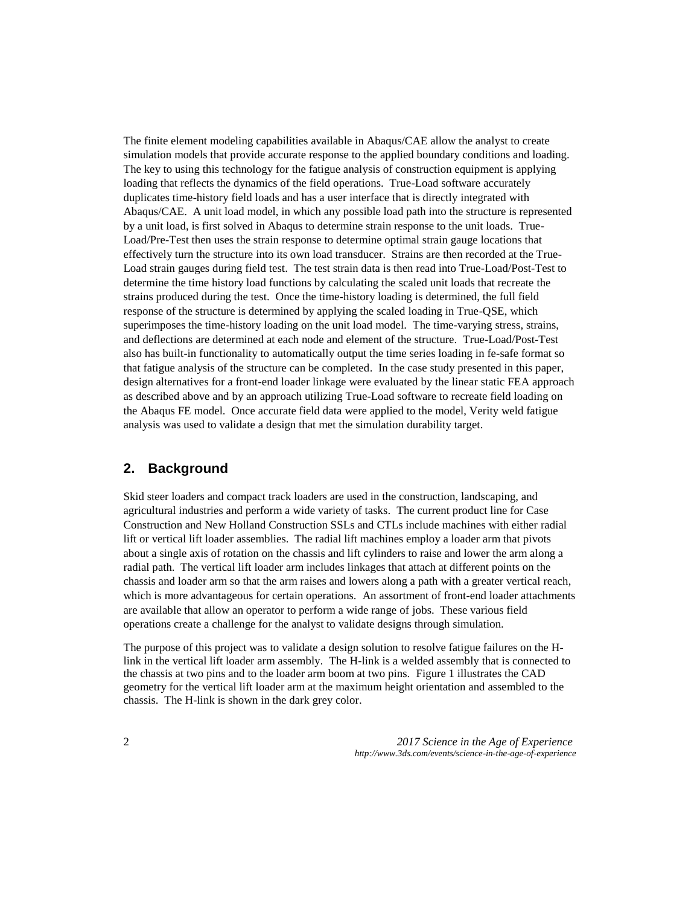The finite element modeling capabilities available in Abaqus/CAE allow the analyst to create simulation models that provide accurate response to the applied boundary conditions and loading. The key to using this technology for the fatigue analysis of construction equipment is applying loading that reflects the dynamics of the field operations. True-Load software accurately duplicates time-history field loads and has a user interface that is directly integrated with Abaqus/CAE. A unit load model, in which any possible load path into the structure is represented by a unit load, is first solved in Abaqus to determine strain response to the unit loads. True-Load/Pre-Test then uses the strain response to determine optimal strain gauge locations that effectively turn the structure into its own load transducer. Strains are then recorded at the True-Load strain gauges during field test. The test strain data is then read into True-Load/Post-Test to determine the time history load functions by calculating the scaled unit loads that recreate the strains produced during the test. Once the time-history loading is determined, the full field response of the structure is determined by applying the scaled loading in True-QSE, which superimposes the time-history loading on the unit load model. The time-varying stress, strains, and deflections are determined at each node and element of the structure. True-Load/Post-Test also has built-in functionality to automatically output the time series loading in fe-safe format so that fatigue analysis of the structure can be completed. In the case study presented in this paper, design alternatives for a front-end loader linkage were evaluated by the linear static FEA approach as described above and by an approach utilizing True-Load software to recreate field loading on the Abaqus FE model. Once accurate field data were applied to the model, Verity weld fatigue analysis was used to validate a design that met the simulation durability target.

## **2. Background**

Skid steer loaders and compact track loaders are used in the construction, landscaping, and agricultural industries and perform a wide variety of tasks. The current product line for Case Construction and New Holland Construction SSLs and CTLs include machines with either radial lift or vertical lift loader assemblies. The radial lift machines employ a loader arm that pivots about a single axis of rotation on the chassis and lift cylinders to raise and lower the arm along a radial path. The vertical lift loader arm includes linkages that attach at different points on the chassis and loader arm so that the arm raises and lowers along a path with a greater vertical reach, which is more advantageous for certain operations. An assortment of front-end loader attachments are available that allow an operator to perform a wide range of jobs. These various field operations create a challenge for the analyst to validate designs through simulation.

The purpose of this project was to validate a design solution to resolve fatigue failures on the Hlink in the vertical lift loader arm assembly. The H-link is a welded assembly that is connected to the chassis at two pins and to the loader arm boom at two pins. Figure 1 illustrates the CAD geometry for the vertical lift loader arm at the maximum height orientation and assembled to the chassis. The H-link is shown in the dark grey color.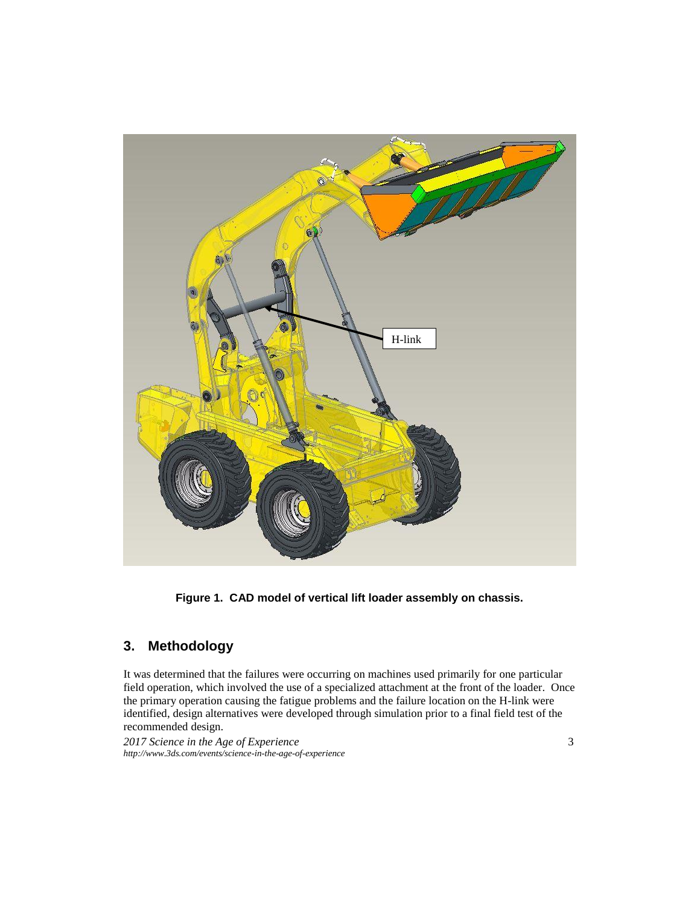

**Figure 1. CAD model of vertical lift loader assembly on chassis.**

## **3. Methodology**

It was determined that the failures were occurring on machines used primarily for one particular field operation, which involved the use of a specialized attachment at the front of the loader. Once the primary operation causing the fatigue problems and the failure location on the H-link were identified, design alternatives were developed through simulation prior to a final field test of the recommended design.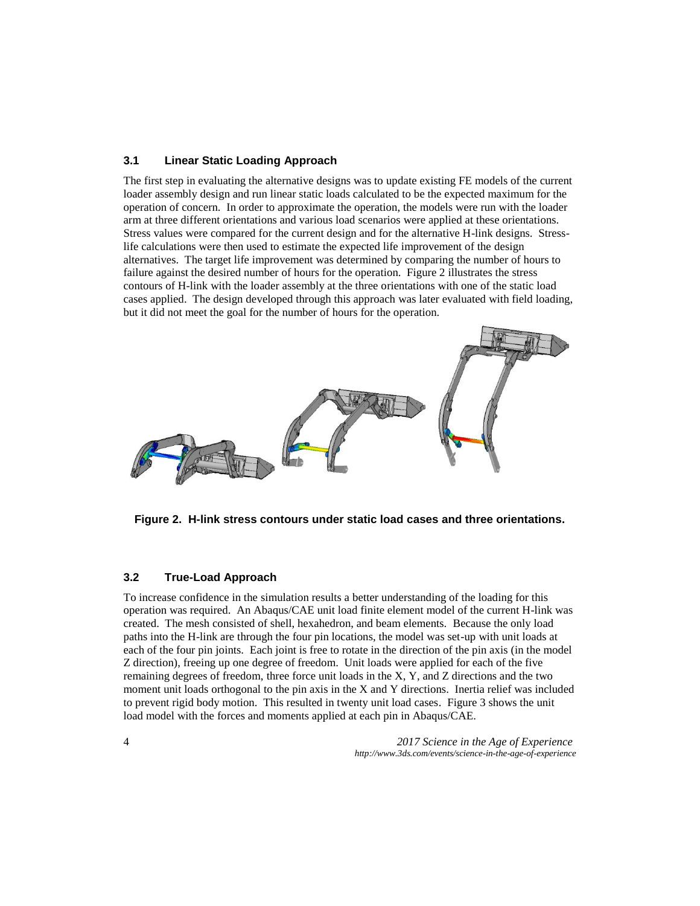### **3.1 Linear Static Loading Approach**

The first step in evaluating the alternative designs was to update existing FE models of the current loader assembly design and run linear static loads calculated to be the expected maximum for the operation of concern. In order to approximate the operation, the models were run with the loader arm at three different orientations and various load scenarios were applied at these orientations. Stress values were compared for the current design and for the alternative H-link designs. Stresslife calculations were then used to estimate the expected life improvement of the design alternatives. The target life improvement was determined by comparing the number of hours to failure against the desired number of hours for the operation. Figure 2 illustrates the stress contours of H-link with the loader assembly at the three orientations with one of the static load cases applied. The design developed through this approach was later evaluated with field loading, but it did not meet the goal for the number of hours for the operation.



**Figure 2. H-link stress contours under static load cases and three orientations.**

### **3.2 True-Load Approach**

To increase confidence in the simulation results a better understanding of the loading for this operation was required. An Abaqus/CAE unit load finite element model of the current H-link was created. The mesh consisted of shell, hexahedron, and beam elements. Because the only load paths into the H-link are through the four pin locations, the model was set-up with unit loads at each of the four pin joints. Each joint is free to rotate in the direction of the pin axis (in the model Z direction), freeing up one degree of freedom. Unit loads were applied for each of the five remaining degrees of freedom, three force unit loads in the X, Y, and Z directions and the two moment unit loads orthogonal to the pin axis in the X and Y directions. Inertia relief was included to prevent rigid body motion. This resulted in twenty unit load cases. Figure 3 shows the unit load model with the forces and moments applied at each pin in Abaqus/CAE.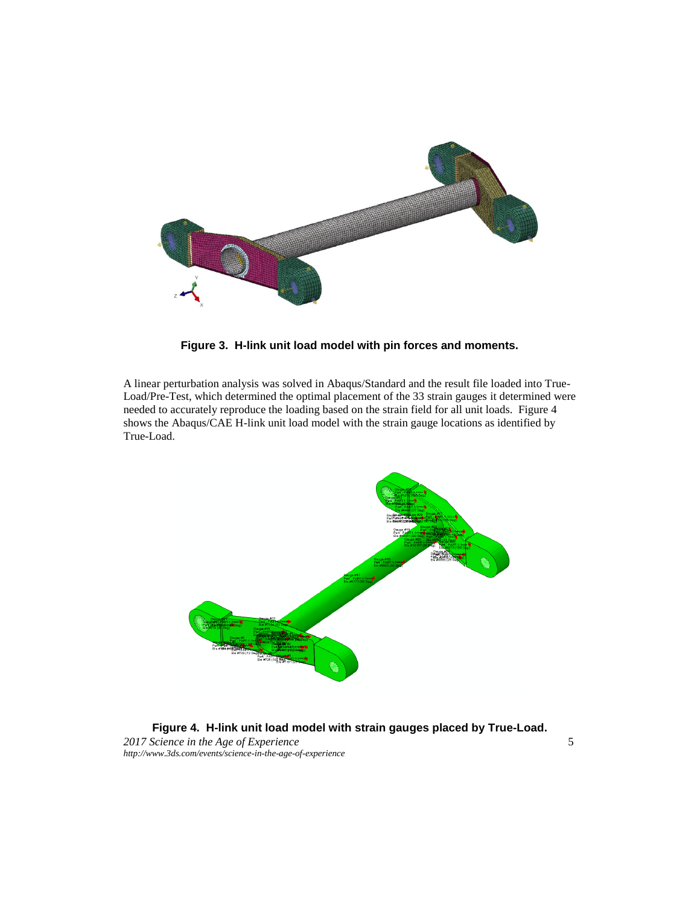

**Figure 3. H-link unit load model with pin forces and moments.**

A linear perturbation analysis was solved in Abaqus/Standard and the result file loaded into True-Load/Pre-Test, which determined the optimal placement of the 33 strain gauges it determined were needed to accurately reproduce the loading based on the strain field for all unit loads. Figure 4 shows the Abaqus/CAE H-link unit load model with the strain gauge locations as identified by True-Load.



*2017 Science in the Age of Experience* 5 *http://www.3ds.com/events/science-in-the-age-of-experience* **Figure 4. H-link unit load model with strain gauges placed by True-Load.**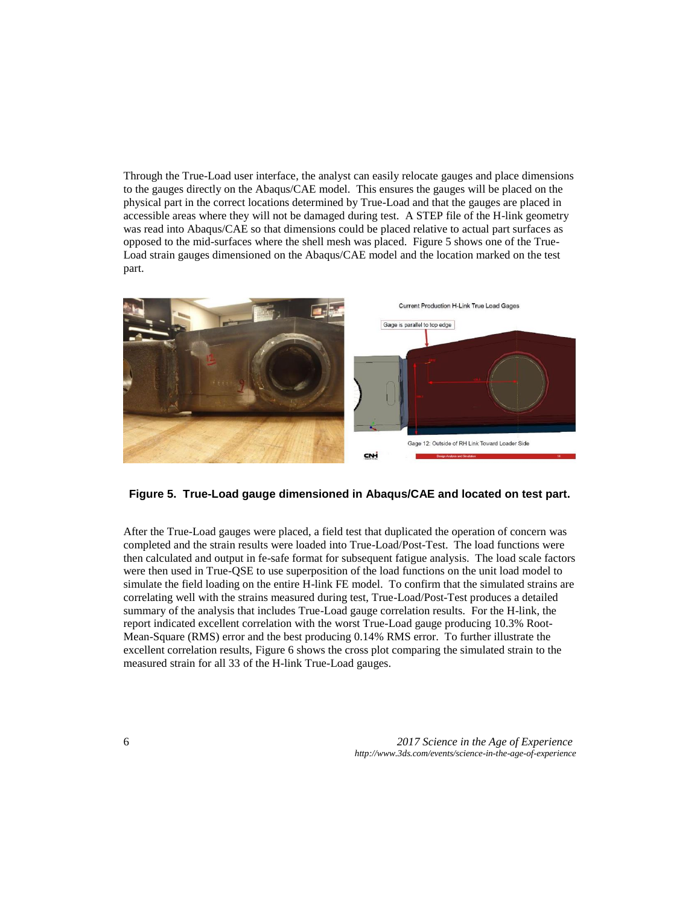Through the True-Load user interface, the analyst can easily relocate gauges and place dimensions to the gauges directly on the Abaqus/CAE model. This ensures the gauges will be placed on the physical part in the correct locations determined by True-Load and that the gauges are placed in accessible areas where they will not be damaged during test. A STEP file of the H-link geometry was read into Abaqus/CAE so that dimensions could be placed relative to actual part surfaces as opposed to the mid-surfaces where the shell mesh was placed. Figure 5 shows one of the True-Load strain gauges dimensioned on the Abaqus/CAE model and the location marked on the test part.



**Figure 5. True-Load gauge dimensioned in Abaqus/CAE and located on test part.**

After the True-Load gauges were placed, a field test that duplicated the operation of concern was completed and the strain results were loaded into True-Load/Post-Test. The load functions were then calculated and output in fe-safe format for subsequent fatigue analysis. The load scale factors were then used in True-QSE to use superposition of the load functions on the unit load model to simulate the field loading on the entire H-link FE model. To confirm that the simulated strains are correlating well with the strains measured during test, True-Load/Post-Test produces a detailed summary of the analysis that includes True-Load gauge correlation results. For the H-link, the report indicated excellent correlation with the worst True-Load gauge producing 10.3% Root-Mean-Square (RMS) error and the best producing 0.14% RMS error. To further illustrate the excellent correlation results, Figure 6 shows the cross plot comparing the simulated strain to the measured strain for all 33 of the H-link True-Load gauges.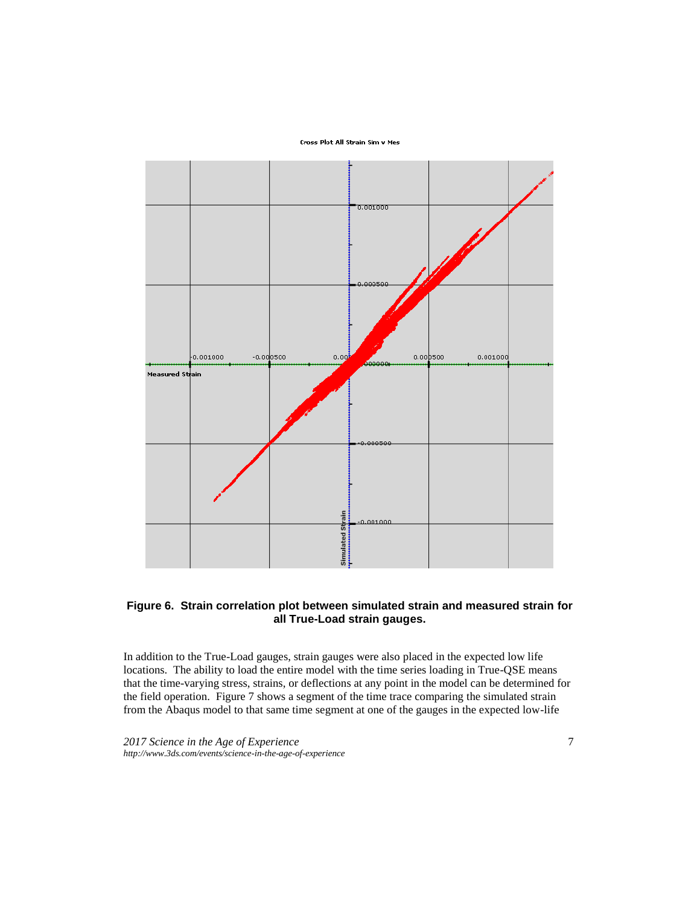Cross Plot All Strain Sim v Mes



### **Figure 6. Strain correlation plot between simulated strain and measured strain for all True-Load strain gauges.**

In addition to the True-Load gauges, strain gauges were also placed in the expected low life locations. The ability to load the entire model with the time series loading in True-QSE means that the time-varying stress, strains, or deflections at any point in the model can be determined for the field operation. Figure 7 shows a segment of the time trace comparing the simulated strain from the Abaqus model to that same time segment at one of the gauges in the expected low-life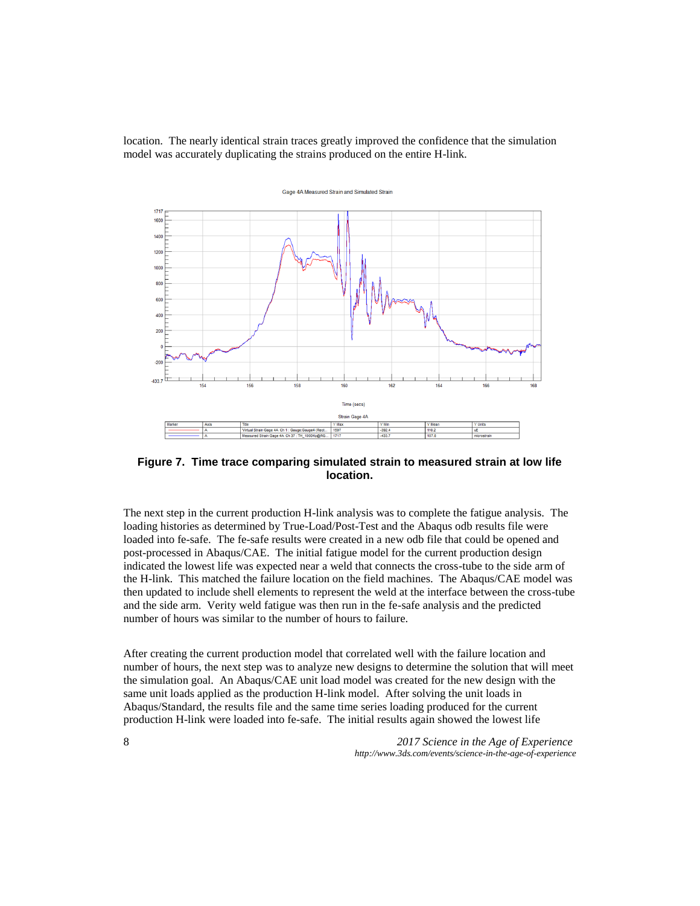location. The nearly identical strain traces greatly improved the confidence that the simulation model was accurately duplicating the strains produced on the entire H-link.



**Figure 7. Time trace comparing simulated strain to measured strain at low life location.**

The next step in the current production H-link analysis was to complete the fatigue analysis. The loading histories as determined by True-Load/Post-Test and the Abaqus odb results file were loaded into fe-safe. The fe-safe results were created in a new odb file that could be opened and post-processed in Abaqus/CAE. The initial fatigue model for the current production design indicated the lowest life was expected near a weld that connects the cross-tube to the side arm of the H-link. This matched the failure location on the field machines. The Abaqus/CAE model was then updated to include shell elements to represent the weld at the interface between the cross-tube and the side arm. Verity weld fatigue was then run in the fe-safe analysis and the predicted number of hours was similar to the number of hours to failure.

After creating the current production model that correlated well with the failure location and number of hours, the next step was to analyze new designs to determine the solution that will meet the simulation goal. An Abaqus/CAE unit load model was created for the new design with the same unit loads applied as the production H-link model. After solving the unit loads in Abaqus/Standard, the results file and the same time series loading produced for the current production H-link were loaded into fe-safe. The initial results again showed the lowest life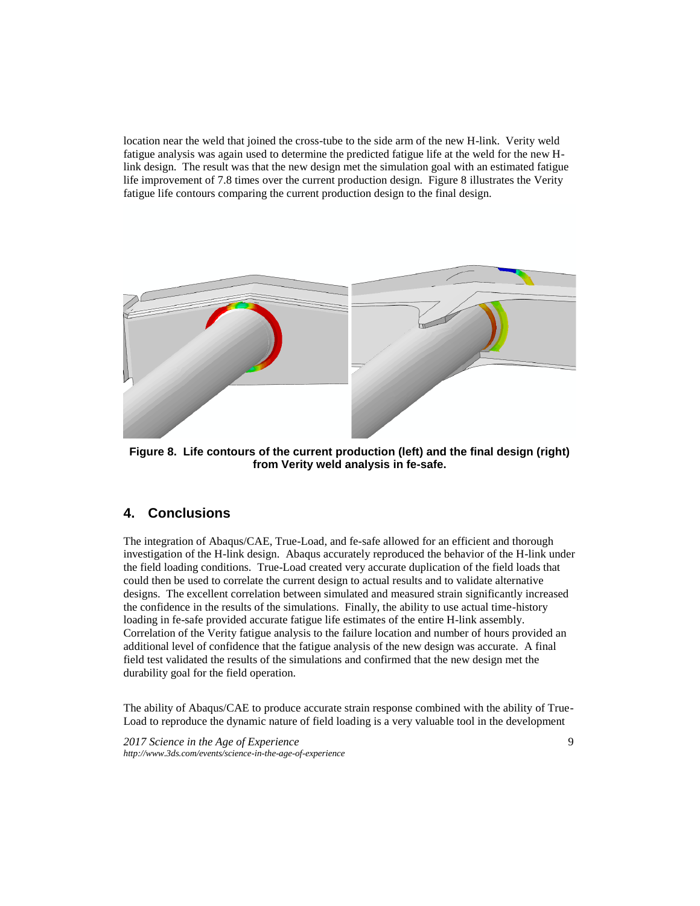location near the weld that joined the cross-tube to the side arm of the new H-link. Verity weld fatigue analysis was again used to determine the predicted fatigue life at the weld for the new Hlink design. The result was that the new design met the simulation goal with an estimated fatigue life improvement of 7.8 times over the current production design. Figure 8 illustrates the Verity fatigue life contours comparing the current production design to the final design.



**Figure 8. Life contours of the current production (left) and the final design (right) from Verity weld analysis in fe-safe.**

## **4. Conclusions**

The integration of Abaqus/CAE, True-Load, and fe-safe allowed for an efficient and thorough investigation of the H-link design. Abaqus accurately reproduced the behavior of the H-link under the field loading conditions. True-Load created very accurate duplication of the field loads that could then be used to correlate the current design to actual results and to validate alternative designs. The excellent correlation between simulated and measured strain significantly increased the confidence in the results of the simulations. Finally, the ability to use actual time-history loading in fe-safe provided accurate fatigue life estimates of the entire H-link assembly. Correlation of the Verity fatigue analysis to the failure location and number of hours provided an additional level of confidence that the fatigue analysis of the new design was accurate. A final field test validated the results of the simulations and confirmed that the new design met the durability goal for the field operation.

The ability of Abaqus/CAE to produce accurate strain response combined with the ability of True-Load to reproduce the dynamic nature of field loading is a very valuable tool in the development